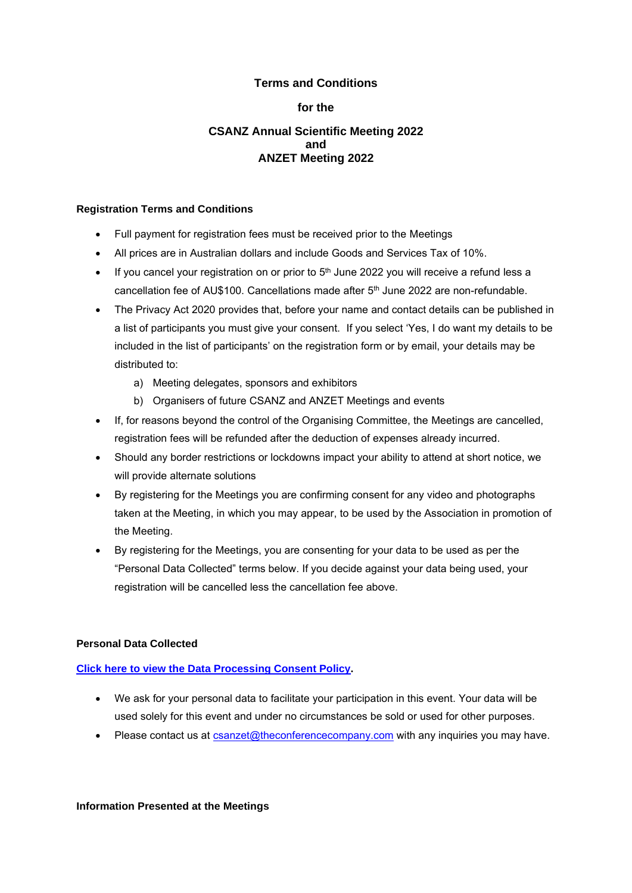## **Terms and Conditions**

## **for the**

# **CSANZ Annual Scientific Meeting 2022 and ANZET Meeting 2022**

### **Registration Terms and Conditions**

- Full payment for registration fees must be received prior to the Meetings
- All prices are in Australian dollars and include Goods and Services Tax of 10%.
- $\bullet$  If you cancel your registration on or prior to 5<sup>th</sup> June 2022 you will receive a refund less a cancellation fee of AU\$100. Cancellations made after 5 th June 2022 are non-refundable.
- The Privacy Act 2020 provides that, before your name and contact details can be published in a list of participants you must give your consent. If you select 'Yes, I do want my details to be included in the list of participants' on the registration form or by email, your details may be distributed to:
	- a) Meeting delegates, sponsors and exhibitors
	- b) Organisers of future CSANZ and ANZET Meetings and events
- If, for reasons beyond the control of the Organising Committee, the Meetings are cancelled, registration fees will be refunded after the deduction of expenses already incurred.
- Should any border restrictions or lockdowns impact your ability to attend at short notice, we will provide alternate solutions
- By registering for the Meetings you are confirming consent for any video and photographs taken at the Meeting, in which you may appear, to be used by the Association in promotion of the Meeting.
- By registering for the Meetings, you are consenting for your data to be used as per the "Personal Data Collected" terms below. If you decide against your data being used, your registration will be cancelled less the cancellation fee above.

### **Personal Data Collected**

## **[Click here to view the Data Processing Consent Policy.](https://secure.tcc.co.nz/ei/images/CSANZET22/Data_Consent_Policy.pdf)**

- We ask for your personal data to facilitate your participation in this event. Your data will be used solely for this event and under no circumstances be sold or used for other purposes.
- Please contact us at [csanzet@theconferencecompany.com](mailto:csanzet@theconferencecompany.com) with any inquiries you may have.

### **Information Presented at the Meetings**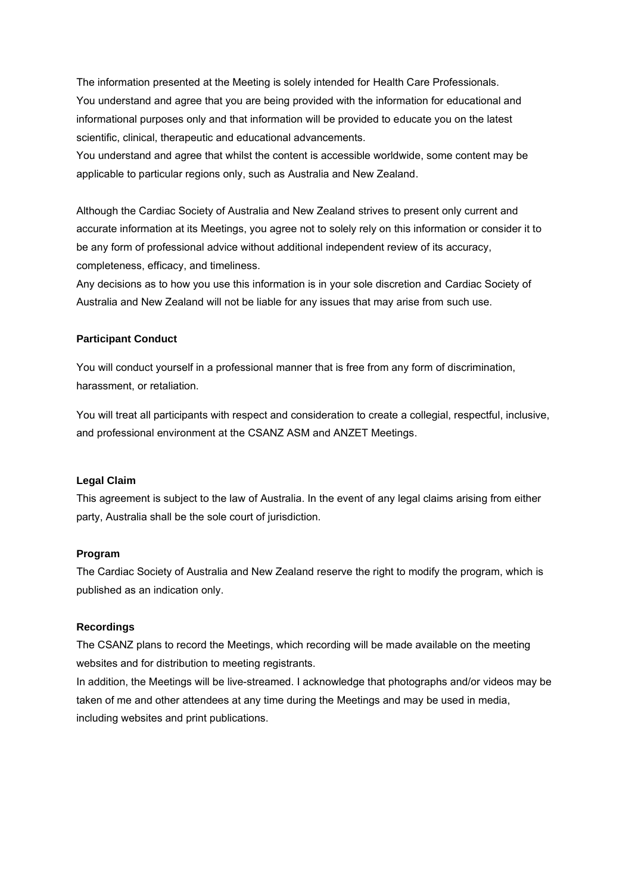The information presented at the Meeting is solely intended for Health Care Professionals. You understand and agree that you are being provided with the information for educational and informational purposes only and that information will be provided to educate you on the latest scientific, clinical, therapeutic and educational advancements.

You understand and agree that whilst the content is accessible worldwide, some content may be applicable to particular regions only, such as Australia and New Zealand.

Although the Cardiac Society of Australia and New Zealand strives to present only current and accurate information at its Meetings, you agree not to solely rely on this information or consider it to be any form of professional advice without additional independent review of its accuracy, completeness, efficacy, and timeliness.

Any decisions as to how you use this information is in your sole discretion and Cardiac Society of Australia and New Zealand will not be liable for any issues that may arise from such use.

### **Participant Conduct**

You will conduct yourself in a professional manner that is free from any form of discrimination, harassment, or retaliation.

You will treat all participants with respect and consideration to create a collegial, respectful, inclusive, and professional environment at the CSANZ ASM and ANZET Meetings.

### **Legal Claim**

This agreement is subject to the law of Australia. In the event of any legal claims arising from either party, Australia shall be the sole court of jurisdiction.

#### **Program**

The Cardiac Society of Australia and New Zealand reserve the right to modify the program, which is published as an indication only.

### **Recordings**

The CSANZ plans to record the Meetings, which recording will be made available on the meeting websites and for distribution to meeting registrants.

In addition, the Meetings will be live-streamed. I acknowledge that photographs and/or videos may be taken of me and other attendees at any time during the Meetings and may be used in media, including websites and print publications.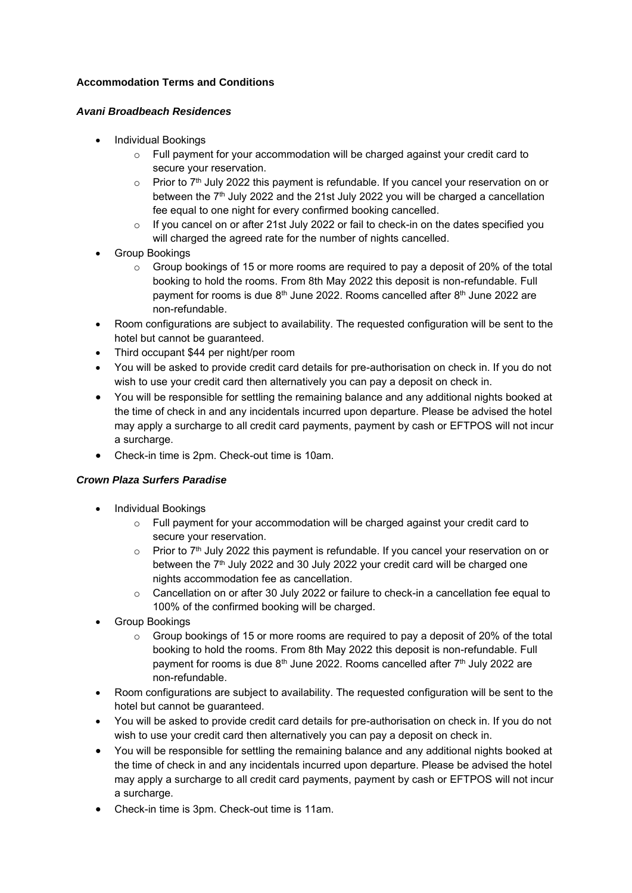## **Accommodation Terms and Conditions**

### *Avani Broadbeach Residences*

- Individual Bookings
	- $\circ$  Full payment for your accommodation will be charged against your credit card to secure your reservation.
	- $\circ$  Prior to 7<sup>th</sup> July 2022 this payment is refundable. If you cancel your reservation on or between the  $7<sup>th</sup>$  July 2022 and the 21st July 2022 you will be charged a cancellation fee equal to one night for every confirmed booking cancelled.
	- o If you cancel on or after 21st July 2022 or fail to check-in on the dates specified you will charged the agreed rate for the number of nights cancelled.
- Group Bookings
	- $\circ$  Group bookings of 15 or more rooms are required to pay a deposit of 20% of the total booking to hold the rooms. From 8th May 2022 this deposit is non-refundable. Full payment for rooms is due 8<sup>th</sup> June 2022. Rooms cancelled after 8<sup>th</sup> June 2022 are non-refundable.
- Room configurations are subject to availability. The requested configuration will be sent to the hotel but cannot be guaranteed.
- Third occupant \$44 per night/per room
- You will be asked to provide credit card details for pre-authorisation on check in. If you do not wish to use your credit card then alternatively you can pay a deposit on check in.
- You will be responsible for settling the remaining balance and any additional nights booked at the time of check in and any incidentals incurred upon departure. Please be advised the hotel may apply a surcharge to all credit card payments, payment by cash or EFTPOS will not incur a surcharge.
- Check-in time is 2pm. Check-out time is 10am.

## *Crown Plaza Surfers Paradise*

- Individual Bookings
	- o Full payment for your accommodation will be charged against your credit card to secure your reservation.
	- $\circ$  Prior to 7<sup>th</sup> July 2022 this payment is refundable. If you cancel your reservation on or between the 7<sup>th</sup> July 2022 and 30 July 2022 your credit card will be charged one nights accommodation fee as cancellation.
	- $\circ$  Cancellation on or after 30 July 2022 or failure to check-in a cancellation fee equal to 100% of the confirmed booking will be charged.
- Group Bookings
	- $\circ$  Group bookings of 15 or more rooms are required to pay a deposit of 20% of the total booking to hold the rooms. From 8th May 2022 this deposit is non-refundable. Full payment for rooms is due  $8<sup>th</sup>$  June 2022. Rooms cancelled after  $7<sup>th</sup>$  July 2022 are non-refundable.
- Room configurations are subject to availability. The requested configuration will be sent to the hotel but cannot be guaranteed.
- You will be asked to provide credit card details for pre-authorisation on check in. If you do not wish to use your credit card then alternatively you can pay a deposit on check in.
- You will be responsible for settling the remaining balance and any additional nights booked at the time of check in and any incidentals incurred upon departure. Please be advised the hotel may apply a surcharge to all credit card payments, payment by cash or EFTPOS will not incur a surcharge.
- Check-in time is 3pm. Check-out time is 11am.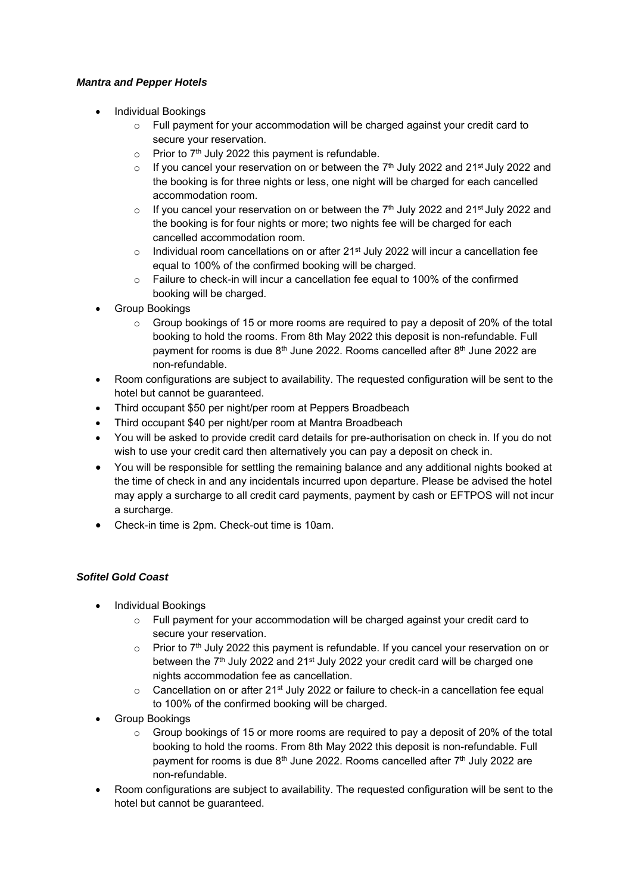## *Mantra and Pepper Hotels*

- Individual Bookings
	- $\circ$  Full payment for your accommodation will be charged against your credit card to secure your reservation.
	- $\circ$  Prior to 7<sup>th</sup> July 2022 this payment is refundable.
	- $\circ$  If you cancel your reservation on or between the 7<sup>th</sup> July 2022 and 21st July 2022 and the booking is for three nights or less, one night will be charged for each cancelled accommodation room.
	- $\circ$  If you cancel your reservation on or between the 7<sup>th</sup> July 2022 and 21st July 2022 and the booking is for four nights or more; two nights fee will be charged for each cancelled accommodation room.
	- $\circ$  Individual room cancellations on or after 21<sup>st</sup> July 2022 will incur a cancellation fee equal to 100% of the confirmed booking will be charged.
	- $\circ$  Failure to check-in will incur a cancellation fee equal to 100% of the confirmed booking will be charged.
- Group Bookings
	- o Group bookings of 15 or more rooms are required to pay a deposit of 20% of the total booking to hold the rooms. From 8th May 2022 this deposit is non-refundable. Full payment for rooms is due 8<sup>th</sup> June 2022. Rooms cancelled after 8<sup>th</sup> June 2022 are non-refundable.
- Room configurations are subject to availability. The requested configuration will be sent to the hotel but cannot be guaranteed.
- Third occupant \$50 per night/per room at Peppers Broadbeach
- Third occupant \$40 per night/per room at Mantra Broadbeach
- You will be asked to provide credit card details for pre-authorisation on check in. If you do not wish to use your credit card then alternatively you can pay a deposit on check in.
- You will be responsible for settling the remaining balance and any additional nights booked at the time of check in and any incidentals incurred upon departure. Please be advised the hotel may apply a surcharge to all credit card payments, payment by cash or EFTPOS will not incur a surcharge.
- Check-in time is 2pm. Check-out time is 10am.

# *Sofitel Gold Coast*

- Individual Bookings
	- o Full payment for your accommodation will be charged against your credit card to secure your reservation.
	- $\circ$  Prior to 7<sup>th</sup> July 2022 this payment is refundable. If you cancel your reservation on or between the 7<sup>th</sup> July 2022 and 21<sup>st</sup> July 2022 your credit card will be charged one nights accommodation fee as cancellation.
	- $\circ$  Cancellation on or after 21<sup>st</sup> July 2022 or failure to check-in a cancellation fee equal to 100% of the confirmed booking will be charged.
- **Group Bookings** 
	- $\circ$  Group bookings of 15 or more rooms are required to pay a deposit of 20% of the total booking to hold the rooms. From 8th May 2022 this deposit is non-refundable. Full payment for rooms is due 8<sup>th</sup> June 2022. Rooms cancelled after 7<sup>th</sup> July 2022 are non-refundable.
- Room configurations are subject to availability. The requested configuration will be sent to the hotel but cannot be guaranteed.